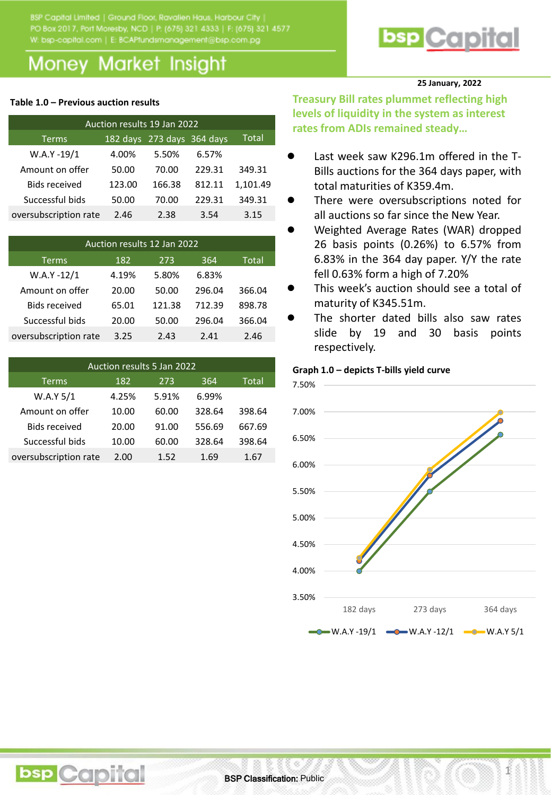W: bsp-capital.com | E: BCAPfundsmanagement@bsp.com.pg

## **Money Market Insight**

#### **Table 1.0 – Previous auction results**

| Auction results 19 Jan 2022 |        |        |        |          |  |  |  |  |  |  |  |
|-----------------------------|--------|--------|--------|----------|--|--|--|--|--|--|--|
| <b>Terms</b>                | Total  |        |        |          |  |  |  |  |  |  |  |
| $W.A.Y - 19/1$              | 4.00%  | 5.50%  | 6.57%  |          |  |  |  |  |  |  |  |
| Amount on offer             | 50.00  | 70.00  | 229.31 | 349.31   |  |  |  |  |  |  |  |
| <b>Bids received</b>        | 123.00 | 166.38 | 812.11 | 1,101.49 |  |  |  |  |  |  |  |
| Successful bids             | 50.00  | 70.00  | 229.31 | 349.31   |  |  |  |  |  |  |  |
| oversubscription rate       | 2.46   | 2.38   | 3.54   | 3.15     |  |  |  |  |  |  |  |

| Auction results 12 Jan 2022 |       |        |        |              |  |  |  |  |  |  |
|-----------------------------|-------|--------|--------|--------------|--|--|--|--|--|--|
| <b>Terms</b>                | 182   | 273    | 364    | <b>Total</b> |  |  |  |  |  |  |
| W.A.Y-12/1                  | 4.19% | 5.80%  | 6.83%  |              |  |  |  |  |  |  |
| Amount on offer             | 20.00 | 50.00  | 296.04 | 366.04       |  |  |  |  |  |  |
| <b>Bids received</b>        | 65.01 | 121.38 | 712.39 | 898.78       |  |  |  |  |  |  |
| Successful bids             | 20.00 | 50.00  | 296.04 | 366.04       |  |  |  |  |  |  |
| oversubscription rate       | 3.25  | 2.43   | 2.41   | 2.46         |  |  |  |  |  |  |

| Auction results 5 Jan 2022 |       |       |        |        |  |  |  |  |  |  |  |
|----------------------------|-------|-------|--------|--------|--|--|--|--|--|--|--|
| <b>Terms</b>               | 182   | 273   | 364    | Total  |  |  |  |  |  |  |  |
| W.A.Y 5/1                  | 4.25% | 5.91% | 6.99%  |        |  |  |  |  |  |  |  |
| Amount on offer            | 10.00 | 60.00 | 328.64 | 398.64 |  |  |  |  |  |  |  |
| <b>Bids received</b>       | 20.00 | 91.00 | 556.69 | 667.69 |  |  |  |  |  |  |  |
| Successful bids            | 10.00 | 60.00 | 328.64 | 398.64 |  |  |  |  |  |  |  |
| oversubscription rate      | 2.00  | 1.52  | 1.69   | 1.67   |  |  |  |  |  |  |  |

**bsp** Capital

# **bsp** Capital

#### **25 January, 2022**

**Treasury Bill rates plummet reflecting high levels of liquidity in the system as interest rates from ADIs remained steady…**

- Last week saw K296.1m offered in the T-Bills auctions for the 364 days paper, with total maturities of K359.4m.
- There were oversubscriptions noted for all auctions so far since the New Year.
- Weighted Average Rates (WAR) dropped 26 basis points (0.26%) to 6.57% from 6.83% in the 364 day paper. Y/Y the rate fell 0.63% form a high of 7.20%
- This week's auction should see a total of maturity of K345.51m.
- The shorter dated bills also saw rates slide by 19 and 30 basis points respectively.

#### **Graph 1.0 – depicts T-bills yield curve**



1

**BSP Classification: Public**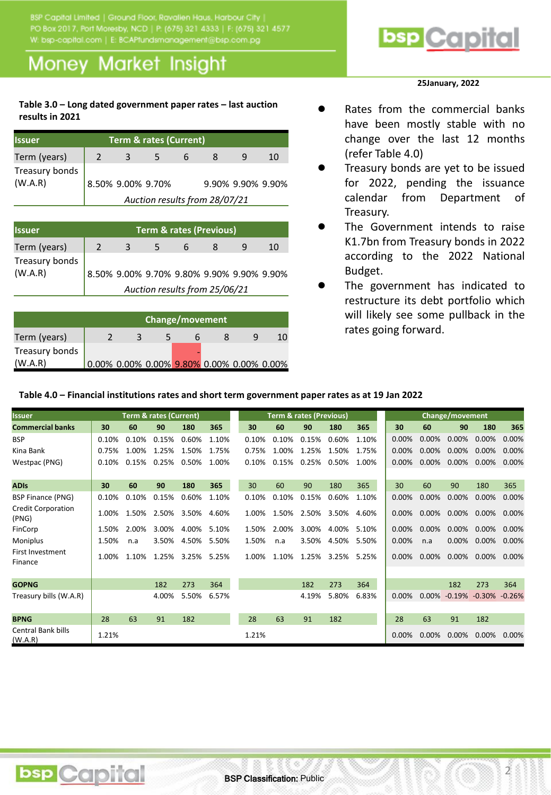W: bsp-capital.com | E: BCAPtundsmanagement@bsp.com.pg

## **Money Market Insight**

#### **Table 3.0 – Long dated government paper rates – last auction results in 2021**

| <b>Issuer</b>             | <b>Term &amp; rates (Current)</b> |   |                   |  |                   |  |    |  |  |  |  |  |
|---------------------------|-----------------------------------|---|-------------------|--|-------------------|--|----|--|--|--|--|--|
| Term (years)              |                                   | 3 | 5                 |  |                   |  | 10 |  |  |  |  |  |
| Treasury bonds<br>(W.A.R) |                                   |   | 8.50% 9.00% 9.70% |  | 9.90% 9.90% 9.90% |  |    |  |  |  |  |  |
|                           | Auction results from 28/07/21     |   |                   |  |                   |  |    |  |  |  |  |  |

| <b>Issuer</b>             | <b>Term &amp; rates (Previous)</b>        |  |  |  |  |  |    |  |  |  |  |
|---------------------------|-------------------------------------------|--|--|--|--|--|----|--|--|--|--|
| Term (years)              |                                           |  |  |  |  |  | 10 |  |  |  |  |
| Treasury bonds<br>(W.A.R) | 8.50% 9.00% 9.70% 9.80% 9.90% 9.90% 9.90% |  |  |  |  |  |    |  |  |  |  |
|                           | Auction results from 25/06/21             |  |  |  |  |  |    |  |  |  |  |

|                | Change/movement |  |  |  |                                           |  |    |  |  |  |  |  |
|----------------|-----------------|--|--|--|-------------------------------------------|--|----|--|--|--|--|--|
| Term (years)   |                 |  |  |  |                                           |  | 10 |  |  |  |  |  |
| Treasury bonds |                 |  |  |  |                                           |  |    |  |  |  |  |  |
| (W.A.R)        |                 |  |  |  | 0.00% 0.00% 0.00% 9.80% 0.00% 0.00% 0.00% |  |    |  |  |  |  |  |

## **bsp** Capital

#### **25January, 2022**

- Rates from the commercial banks have been mostly stable with no change over the last 12 months (refer Table 4.0)
- Treasury bonds are yet to be issued for 2022, pending the issuance calendar from Department of Treasury.
- The Government intends to raise K1.7bn from Treasury bonds in 2022 according to the 2022 National Budget.
- The government has indicated to restructure its debt portfolio which will likely see some pullback in the rates going forward.

2

#### **Table 4.0 – Financial institutions rates and short term government paper rates as at 19 Jan 2022**

| Issuer                               | <b>Term &amp; rates (Current)</b> |       |                   |             | <b>Term &amp; rates (Previous)</b> |       |       |       | <b>Change/movement</b> |       |          |          |                                        |          |          |
|--------------------------------------|-----------------------------------|-------|-------------------|-------------|------------------------------------|-------|-------|-------|------------------------|-------|----------|----------|----------------------------------------|----------|----------|
| <b>Commercial banks</b>              | 30                                | 60    | 90                | 180         | 365                                | 30    | 60    | 90    | 180                    | 365   | 30       | 60       | 90                                     | 180      | 365      |
| <b>BSP</b>                           | 0.10%                             | 0.10% | 0.15%             | 0.60%       | 1.10%                              | 0.10% | 0.10% | 0.15% | 0.60%                  | 1.10% | $0.00\%$ | 0.00%    | 0.00%                                  | 0.00%    | 0.00%    |
| Kina Bank                            | 0.75%                             | 1.00% | 1.25%             | 1.50%       | 1.75%                              | 0.75% | 1.00% | 1.25% | 1.50%                  | 1.75% | $0.00\%$ | $0.00\%$ | 0.00%                                  | 0.00%    | 0.00%    |
| Westpac (PNG)                        | 0.10%                             | 0.15% | 0.25%             | 0.50%       | 1.00%                              | 0.10% | 0.15% | 0.25% | 0.50%                  | 1.00% | $0.00\%$ | $0.00\%$ | $0.00\%$                               | $0.00\%$ | 0.00%    |
|                                      |                                   |       |                   |             |                                    |       |       |       |                        |       |          |          |                                        |          |          |
| <b>ADIS</b>                          | 30                                | 60    | 90                | 180         | 365                                | 30    | 60    | 90    | 180                    | 365   | 30       | 60       | 90                                     | 180      | 365      |
| <b>BSP Finance (PNG)</b>             | 0.10%                             | 0.10% | 0.15%             | 0.60%       | 1.10%                              | 0.10% | 0.10% | 0.15% | 0.60%                  | 1.10% | $0.00\%$ | 0.00%    | 0.00%                                  | 0.00%    | 0.00%    |
| <b>Credit Corporation</b><br>(PNG)   | 1.00%                             |       | 1.50% 2.50% 3.50% |             | 4.60%                              | 1.00% | 1.50% | 2.50% | 3.50%                  | 4.60% | $0.00\%$ | $0.00\%$ | $0.00\%$                               | $0.00\%$ | 0.00%    |
| FinCorp                              | 1.50%                             | 2.00% | 3.00%             | 4.00%       | 5.10%                              | 1.50% | 2.00% | 3.00% | 4.00%                  | 5.10% | $0.00\%$ | $0.00\%$ | $0.00\%$                               | $0.00\%$ | $0.00\%$ |
| Moniplus                             | 1.50%                             | n.a   | 3.50%             | 4.50%       | 5.50%                              | 1.50% | n.a   | 3.50% | 4.50%                  | 5.50% | 0.00%    | n.a      | 0.00%                                  | $0.00\%$ | 0.00%    |
| <b>First Investment</b><br>Finance   | 1.00%                             | 1.10% |                   | 1.25% 3.25% | 5.25%                              | 1.00% | 1.10% | 1.25% | 3.25%                  | 5.25% | $0.00\%$ | $0.00\%$ | $0.00\%$                               | 0.00%    | 0.00%    |
|                                      |                                   |       |                   |             |                                    |       |       |       |                        |       |          |          |                                        |          |          |
| <b>GOPNG</b>                         |                                   |       | 182               | 273         | 364                                |       |       | 182   | 273                    | 364   |          |          | 182                                    | 273      | 364      |
| Treasury bills (W.A.R)               |                                   |       | 4.00%             | 5.50%       | 6.57%                              |       |       | 4.19% | 5.80%                  | 6.83% | $0.00\%$ |          | $0.00\%$ $-0.19\%$ $-0.30\%$ $-0.26\%$ |          |          |
|                                      |                                   |       |                   |             |                                    |       |       |       |                        |       |          |          |                                        |          |          |
| <b>BPNG</b>                          | 28                                | 63    | 91                | 182         |                                    | 28    | 63    | 91    | 182                    |       | 28       | 63       | 91                                     | 182      |          |
| <b>Central Bank bills</b><br>(W.A.R) | 1.21%                             |       |                   |             |                                    | 1.21% |       |       |                        |       | $0.00\%$ | 0.00%    | 0.00%                                  | 0.00%    | 0.00%    |